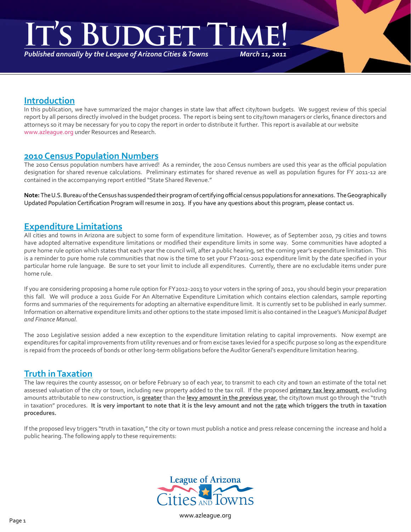# **IGHT**

*Published annually by the League of Arizona Cities & Towns*

*March 11, 2011*

### **Introduction**

In this publication, we have summarized the major changes in state law that affect city/town budgets. We suggest review of this special report by all persons directly involved in the budget process. The report is being sent to city/town managers or clerks, finance directors and attorneys so it may be necessary for you to copy the report in order to distribute it further. This report is available at our website www.azleague.org under Resources and Research.

#### **2010 Census Population Numbers**

The 2010 Census population numbers have arrived! As a reminder, the 2010 Census numbers are used this year as the official population designation for shared revenue calculations. Preliminary estimates for shared revenue as well as population figures for FY 2011-12 are contained in the accompanying report entitled "State Shared Revenue."

**Note:** The U.S. Bureau of the Census has suspended their program of certifying official census populations for annexations. The Geographically Updated Population Certification Program will resume in 2013. If you have any questions about this program, please contact us.

# **Expenditure Limitations**

All cities and towns in Arizona are subject to some form of expenditure limitation. However, as of September 2010, 79 cities and towns have adopted alternative expenditure limitations or modified their expenditure limits in some way. Some communities have adopted a pure home rule option which states that each year the council will, after a public hearing, set the coming year's expenditure limitation. This is a reminder to pure home rule communities that now is the time to set your FY2011-2012 expenditure limit by the date specified in your particular home rule language. Be sure to set your limit to include all expenditures. Currently, there are no excludable items under pure home rule.

If you are considering proposing a home rule option for FY2012-2013 to your voters in the spring of 2012, you should begin your preparation this fall. We will produce a 2011 Guide For An Alternative Expenditure Limitation which contains election calendars, sample reporting forms and summaries of the requirements for adopting an alternative expenditure limit. It is currently set to be published in early summer. Information on alternative expenditure limits and other options to the state imposed limit is also contained in the League's *Municipal Budget and Finance Manual*.

The 2010 Legislative session added a new exception to the expenditure limitation relating to capital improvements. Now exempt are expenditures for capital improvements from utility revenues and or from excise taxes levied for a specific purpose so long as the expenditure is repaid from the proceeds of bonds or other long-term obligations before the Auditor General's expenditure limitation hearing.

# **Truth in Taxation**

The law requires the county assessor, on or before February 10 of each year, to transmit to each city and town an estimate of the total net assessed valuation of the city or town, including new property added to the tax roll. If the proposed **primary tax levy amount**, excluding amounts attributable to new construction, is **greater** than the **levy amount in the previous year**, the city/town must go through the "truth in taxation" procedures. **It is very important to note that it is the levy amount and not the rate which triggers the truth in taxation procedures.**

If the proposed levy triggers "truth in taxation," the city or town must publish a notice and press release concerning the increase and hold a public hearing. The following apply to these requirements:

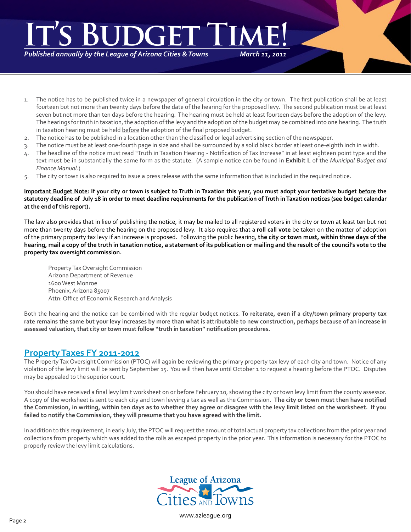# *March 11, 2011* **It's Budget Time!**

*Published annually by the League of Arizona Cities & Towns*

1. The notice has to be published twice in a newspaper of general circulation in the city or town. The first publication shall be at least fourteen but not more than twenty days before the date of the hearing for the proposed levy. The second publication must be at least seven but not more than ten days before the hearing. The hearing must be held at least fourteen days before the adoption of the levy. The hearings for truth in taxation, the adoption of the levy and the adoption of the budget may be combined into one hearing. The truth in taxation hearing must be held before the adoption of the final proposed budget.

- 2. The notice has to be published in a location other than the classified or legal advertising section of the newspaper.
- 3. The notice must be at least one-fourth page in size and shall be surrounded by a solid black border at least one-eighth inch in width.
- 4. The headline of the notice must read "Truth in Taxation Hearing Notification of Tax Increase" in at least eighteen point type and the text must be in substantially the same form as the statute. (A sample notice can be found in **Exhibit L** of the *Municipal Budget and Finance Manual*.)
- 5. The city or town is also required to issue a press release with the same information that is included in the required notice.

#### **Important Budget Note: If your city or town is subject to Truth in Taxation this year, you must adopt your tentative budget before the statutory deadline of July 18 in order to meet deadline requirements for the publication of Truth in Taxation notices (see budget calendar at the end of this report).**

The law also provides that in lieu of publishing the notice, it may be mailed to all registered voters in the city or town at least ten but not more than twenty days before the hearing on the proposed levy. It also requires that a **roll call vote** be taken on the matter of adoption of the primary property tax levy if an increase is proposed. Following the public hearing, **the city or town must, within three days of the hearing, mail a copy of the truth in taxation notice, a statement of its publication or mailing and the result of the council's vote to the property tax oversight commission.**

Property Tax Oversight Commission Arizona Department of Revenue 1600 West Monroe Phoenix, Arizona 85007 Attn: Office of Economic Research and Analysis

Both the hearing and the notice can be combined with the regular budget notices. **To reiterate, even if a city/town primary property tax rate remains the same but your levy increases by more than what is attributable to new construction, perhaps because of an increase in assessed valuation, that city or town must follow "truth in taxation" notification procedures.**

# **Property Taxes FY 2011-2012**

The Property Tax Oversight Commission (PTOC) will again be reviewing the primary property tax levy of each city and town. Notice of any violation of the levy limit will be sent by September 15. You will then have until October 1 to request a hearing before the PTOC. Disputes may be appealed to the superior court.

You should have received a final levy limit worksheet on or before February 10, showing the city or town levy limit from the county assessor. A copy of the worksheet is sent to each city and town levying a tax as well as the Commission. **The city or town must then have notified the Commission, in writing, within ten days as to whether they agree or disagree with the levy limit listed on the worksheet. If you failed to notify the Commission, they will presume that you have agreed with the limit.**

In addition to this requirement, in early July, the PTOC will request the amount of total actual property tax collections from the prior year and collections from property which was added to the rolls as escaped property in the prior year. This information is necessary for the PTOC to properly review the levy limit calculations.

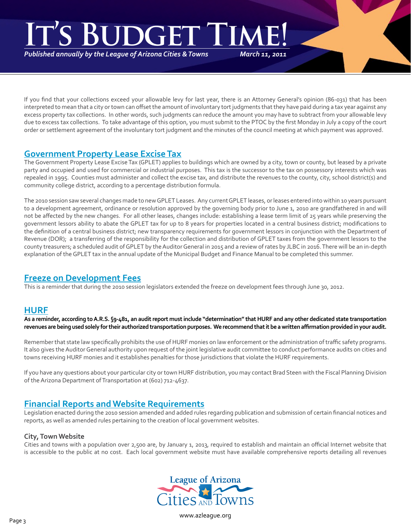# *March 11, 2011* **IT'S BUDGET THE**

*Published annually by the League of Arizona Cities & Towns*

If you find that your collections exceed your allowable levy for last year, there is an Attorney General's opinion (86-031) that has been interpreted to mean that a city or town can offset the amount of involuntary tort judgments that they have paid during a tax year against any excess property tax collections. In other words, such judgments can reduce the amount you may have to subtract from your allowable levy due to excess tax collections. To take advantage of this option, you must submit to the PTOC by the first Monday in July a copy of the court order or settlement agreement of the involuntary tort judgment and the minutes of the council meeting at which payment was approved.

# **Government Property Lease Excise Tax**

The Government Property Lease Excise Tax (GPLET) applies to buildings which are owned by a city, town or county, but leased by a private party and occupied and used for commercial or industrial purposes. This tax is the successor to the tax on possessory interests which was repealed in 1995. Counties must administer and collect the excise tax, and distribute the revenues to the county, city, school district(s) and community college district, according to a percentage distribution formula.

The 2010 session saw several changes made to new GPLET Leases. Any current GPLET leases, or leases entered into within 10 years pursuant to a development agreement, ordinance or resolution approved by the governing body prior to June 1, 2010 are grandfathered in and will not be affected by the new changes. For all other leases, changes include: establishing a lease term limit of 25 years while preserving the government lessors ability to abate the GPLET tax for up to 8 years for properties located in a central business district; modifications to the definition of a central business district; new transparency requirements for government lessors in conjunction with the Department of Revenue (DOR); a transferring of the responsibility for the collection and distribution of GPLET taxes from the government lessors to the county treasurers; a scheduled audit of GPLET by the Auditor General in 2015 and a review of rates by JLBC in 2016. There will be an in-depth explanation of the GPLET tax in the annual update of the Municipal Budget and Finance Manual to be completed this summer.

# **Freeze on Development Fees**

This is a reminder that during the 2010 session legislators extended the freeze on development fees through June 30, 2012.

#### **HURF**

**As a reminder, according to A.R.S. §9-481, an audit report must include "determination" that HURF and any other dedicated state transportation revenues are being used solely for their authorized transportation purposes. We recommend that it be a written affirmation provided in your audit.**

Remember that state law specifically prohibits the use of HURF monies on law enforcement or the administration of traffic safety programs. It also gives the Auditor General authority upon request of the joint legislative audit committee to conduct performance audits on cities and towns receiving HURF monies and it establishes penalties for those jurisdictions that violate the HURF requirements.

If you have any questions about your particular city or town HURF distribution, you may contact Brad Steen with the Fiscal Planning Division of the Arizona Department of Transportation at (602) 712-4637.

# **Financial Reports and Website Requirements**

Legislation enacted during the 2010 session amended and added rules regarding publication and submission of certain financial notices and reports, as well as amended rules pertaining to the creation of local government websites.

#### **City, Town Website**

Cities and towns with a population over 2,500 are, by January 1, 2013, required to establish and maintain an official Internet website that is accessible to the public at no cost. Each local government website must have available comprehensive reports detailing all revenues

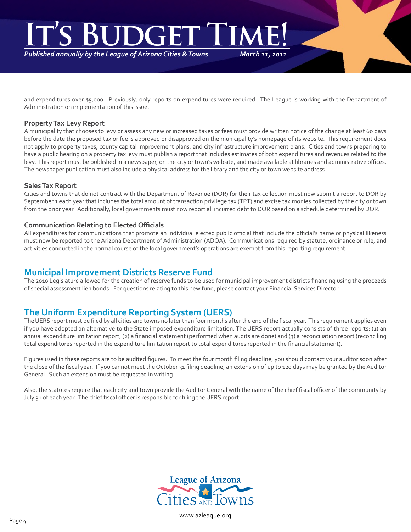# *March 11, 2011* **IGET**

*Published annually by the League of Arizona Cities & Towns*

and expenditures over \$5,000. Previously, only reports on expenditures were required. The League is working with the Department of Administration on implementation of this issue.

#### **Property Tax Levy Report**

A municipality that chooses to levy or assess any new or increased taxes or fees must provide written notice of the change at least 60 days before the date the proposed tax or fee is approved or disapproved on the municipality's homepage of its website. This requirement does not apply to property taxes, county capital improvement plans, and city infrastructure improvement plans. Cities and towns preparing to have a public hearing on a property tax levy must publish a report that includes estimates of both expenditures and revenues related to the levy. This report must be published in a newspaper, on the city or town's website, and made available at libraries and administrative offices. The newspaper publication must also include a physical address for the library and the city or town website address.

#### **Sales Tax Report**

Cities and towns that do not contract with the Department of Revenue (DOR) for their tax collection must now submit a report to DOR by September 1 each year that includes the total amount of transaction privilege tax (TPT) and excise tax monies collected by the city or town from the prior year. Additionally, local governments must now report all incurred debt to DOR based on a schedule determined by DOR.

#### **Communication Relating to Elected Officials**

All expenditures for communications that promote an individual elected public official that include the official's name or physical likeness must now be reported to the Arizona Department of Administration (ADOA). Communications required by statute, ordinance or rule, and activities conducted in the normal course of the local government's operations are exempt from this reporting requirement.

# **Municipal Improvement Districts Reserve Fund**

The 2010 Legislature allowed for the creation of reserve funds to be used for municipal improvement districts financing using the proceeds of special assessment lien bonds. For questions relating to this new fund, please contact your Financial Services Director.

# **The Uniform Expenditure Reporting System (UERS)**

The UERS report must be filed by all cities and towns no later than four months after the end of the fiscal year. This requirement applies even if you have adopted an alternative to the State imposed expenditure limitation. The UERS report actually consists of three reports: (1) an annual expenditure limitation report; (2) a financial statement (performed when audits are done) and (3) a reconciliation report (reconciling total expenditures reported in the expenditure limitation report to total expenditures reported in the financial statement).

Figures used in these reports are to be audited figures. To meet the four month filing deadline, you should contact your auditor soon after the close of the fiscal year. If you cannot meet the October 31 filing deadline, an extension of up to 120 days may be granted by the Auditor General. Such an extension must be requested in writing.

Also, the statutes require that each city and town provide the Auditor General with the name of the chief fiscal officer of the community by July 31 of each year. The chief fiscal officer is responsible for filing the UERS report.

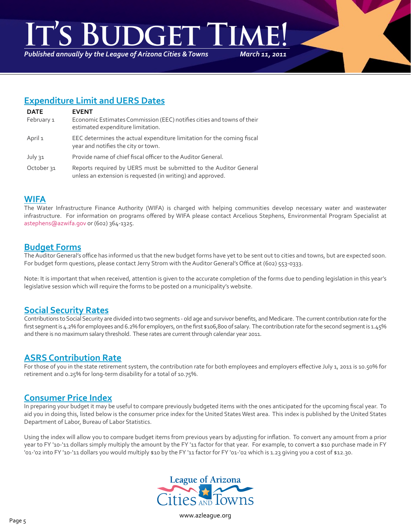# *March 11, 2011* **DGET TI**

*Published annually by the League of Arizona Cities & Towns*

# **Expenditure Limit and UERS Dates**

| <b>DATE</b>           | <b>EVENT</b>                                                                                                                     |
|-----------------------|----------------------------------------------------------------------------------------------------------------------------------|
| February 1            | Economic Estimates Commission (EEC) notifies cities and towns of their<br>estimated expenditure limitation.                      |
| April 1               | EEC determines the actual expenditure limitation for the coming fiscal<br>year and notifies the city or town.                    |
| July 31               | Provide name of chief fiscal officer to the Auditor General.                                                                     |
| October <sub>31</sub> | Reports required by UERS must be submitted to the Auditor General<br>unless an extension is requested (in writing) and approved. |

#### **WIFA**

The Water Infrastructure Finance Authority (WIFA) is charged with helping communities develop necessary water and wastewater infrastructure. For information on programs offered by WIFA please contact Arcelious Stephens, Environmental Program Specialist at astephens@azwifa.gov or (602) 364-1325.

#### **Budget Forms**

The Auditor General's office has informed us that the new budget forms have yet to be sent out to cities and towns, but are expected soon. For budget form questions, please contact Jerry Strom with the Auditor General's Office at (602) 553-0333.

Note: It is important that when received, attention is given to the accurate completion of the forms due to pending legislation in this year's legislative session which will require the forms to be posted on a municipality's website.

# **Social Security Rates**

Contributions to Social Security are divided into two segments - old age and survivor benefits, and Medicare. The current contribution rate for the first segment is 4.2% for employees and 6.2% for employers, on the first \$106,800 of salary. The contribution rate for the second segment is 1.45% and there is no maximum salary threshold. These rates are current through calendar year 2011.

# **ASRS Contribution Rate**

For those of you in the state retirement system, the contribution rate for both employees and employers effective July 1, 2011 is 10.50% for retirement and 0.25% for long-term disability for a total of 10.75%.

# **Consumer Price Index**

In preparing your budget it may be useful to compare previously budgeted items with the ones anticipated for the upcoming fiscal year. To aid you in doing this, listed below is the consumer price index for the United States West area. This index is published by the United States Department of Labor, Bureau of Labor Statistics.

Using the index will allow you to compare budget items from previous years by adjusting for inflation. To convert any amount from a prior year to FY '10-'11 dollars simply multiply the amount by the FY '11 factor for that year. For example, to convert a \$10 purchase made in FY '01-'02 into FY '10-'11 dollars you would multiply \$10 by the FY '11 factor for FY '01-'02 which is 1.23 giving you a cost of \$12.30.

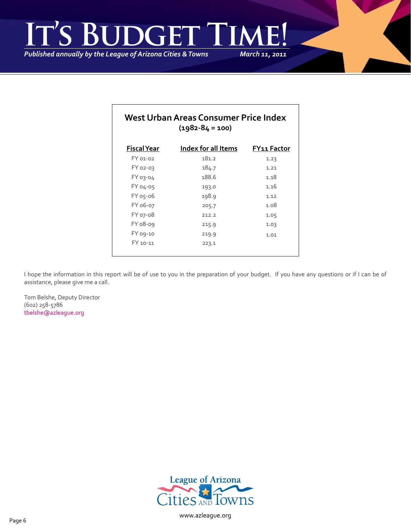*March 11, 2011* **IS BUDGET TI** 

*Published annually by the League of Arizona Cities & Towns*

| West Urban Areas Consumer Price Index<br>$(1982 - 84 = 100)$ |                     |                    |  |  |  |  |
|--------------------------------------------------------------|---------------------|--------------------|--|--|--|--|
| <b>Fiscal Year</b>                                           | Index for all Items | <b>FY11 Factor</b> |  |  |  |  |
| FY 01-02                                                     | 181.2               | 1.23               |  |  |  |  |
| <b>FY 02-03</b>                                              | 184.7               | 1.21               |  |  |  |  |
| <b>FY 03-04</b>                                              | 188.6               | 1.18               |  |  |  |  |
| FY 04-05                                                     | 193.0               | 1.16               |  |  |  |  |
| FY 05-06                                                     | 198.9               | 1.12               |  |  |  |  |
| FY 06-07                                                     | 205.7               | 1.08               |  |  |  |  |
| FY 07-08                                                     | 212.2               | 1.05               |  |  |  |  |
| FY 08-09                                                     | 215.9               | 1.03               |  |  |  |  |
| FY 09-10                                                     | 219.9               | 1.01               |  |  |  |  |
| FY 10-11                                                     | 223.1               |                    |  |  |  |  |

I hope the information in this report will be of use to you in the preparation of your budget. If you have any questions or if I can be of assistance, please give me a call.

Tom Belshe, Deputy Director (602) 258-5786 [tbelshe@azleague.org](mailto:tbelshe@azleague.org)